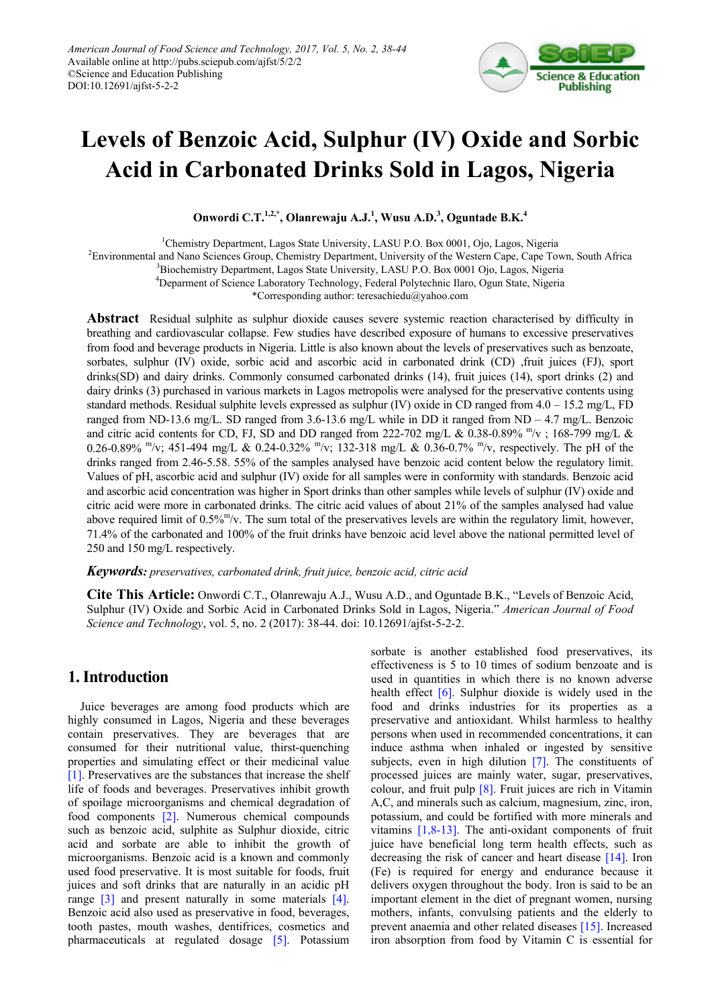

# **Levels of Benzoic Acid, Sulphur (IV) Oxide and Sorbic Acid in Carbonated Drinks Sold in Lagos, Nigeria**

**Onwordi C.T.1,2,\* , Olanrewaju A.J.<sup>1</sup> , Wusu A.D.<sup>3</sup> , Oguntade B.K.<sup>4</sup>**

<sup>1</sup>Chemistry Department, Lagos State University, LASU P.O. Box 0001, Ojo, Lagos, Nigeria

2 Environmental and Nano Sciences Group, Chemistry Department, University of the Western Cape, Cape Town, South Africa

<sup>3</sup>Biochemistry Department, Lagos State University, LASU P.O. Box 0001 Ojo, Lagos, Nigeria

4 Deparment of Science Laboratory Technology, Federal Polytechnic Ilaro, Ogun State, Nigeria

\*Corresponding author: teresachiedu@yahoo.com

**Abstract** Residual sulphite as sulphur dioxide causes severe systemic reaction characterised by difficulty in breathing and cardiovascular collapse. Few studies have described exposure of humans to excessive preservatives from food and beverage products in Nigeria. Little is also known about the levels of preservatives such as benzoate, sorbates, sulphur (IV) oxide, sorbic acid and ascorbic acid in carbonated drink (CD) ,fruit juices (FJ), sport drinks(SD) and dairy drinks. Commonly consumed carbonated drinks (14), fruit juices (14), sport drinks (2) and dairy drinks (3) purchased in various markets in Lagos metropolis were analysed for the preservative contents using standard methods. Residual sulphite levels expressed as sulphur (IV) oxide in CD ranged from 4.0 – 15.2 mg/L, FD ranged from ND-13.6 mg/L. SD ranged from 3.6-13.6 mg/L while in DD it ranged from ND – 4.7 mg/L. Benzoic and citric acid contents for CD, FJ, SD and DD ranged from 222-702 mg/L & 0.38-0.89%  $m/v$ ; 168-799 mg/L & 0.26-0.89% "/v; 451-494 mg/L & 0.24-0.32% "/v; 132-318 mg/L & 0.36-0.7% "/v, respectively. The pH of the drinks ranged from 2.46-5.58. 55% of the samples analysed have benzoic acid content below the regulatory limit. Values of pH, ascorbic acid and sulphur (IV) oxide for all samples were in conformity with standards. Benzoic acid and ascorbic acid concentration was higher in Sport drinks than other samples while levels of sulphur (IV) oxide and citric acid were more in carbonated drinks. The citric acid values of about 21% of the samples analysed had value above required limit of  $0.5\%$ <sup>m</sup>/v. The sum total of the preservatives levels are within the regulatory limit, however, 71.4% of the carbonated and 100% of the fruit drinks have benzoic acid level above the national permitted level of 250 and 150 mg/L respectively.

*Keywords: preservatives, carbonated drink, fruit juice, benzoic acid, citric acid*

**Cite This Article:** Onwordi C.T., Olanrewaju A.J., Wusu A.D., and Oguntade B.K., "Levels of Benzoic Acid, Sulphur (IV) Oxide and Sorbic Acid in Carbonated Drinks Sold in Lagos, Nigeria." *American Journal of Food Science and Technology*, vol. 5, no. 2 (2017): 38-44. doi: 10.12691/ajfst-5-2-2.

# **1. Introduction**

Juice beverages are among food products which are highly consumed in Lagos, Nigeria and these beverages contain preservatives. They are beverages that are consumed for their nutritional value, thirst-quenching properties and simulating effect or their medicinal value [\[1\].](#page-5-0) Preservatives are the substances that increase the shelf life of foods and beverages. Preservatives inhibit growth of spoilage microorganisms and chemical degradation of food components [\[2\].](#page-5-1) Numerous chemical compounds such as benzoic acid, sulphite as Sulphur dioxide, citric acid and sorbate are able to inhibit the growth of microorganisms. Benzoic acid is a known and commonly used food preservative. It is most suitable for foods, fruit juices and soft drinks that are naturally in an acidic pH range [\[3\]](#page-5-2) and present naturally in some materials [\[4\].](#page-5-3) Benzoic acid also used as preservative in food, beverages, tooth pastes, mouth washes, dentifrices, cosmetics and pharmaceuticals at regulated dosage [\[5\].](#page-5-4) Potassium sorbate is another established food preservatives, its effectiveness is 5 to 10 times of sodium benzoate and is used in quantities in which there is no known adverse health effect  $[6]$ . Sulphur dioxide is widely used in the food and drinks industries for its properties as a preservative and antioxidant. Whilst harmless to healthy persons when used in recommended concentrations, it can induce asthma when inhaled or ingested by sensitive subjects, even in high dilution [\[7\].](#page-5-6) The constituents of processed juices are mainly water, sugar, preservatives, colour, and fruit pulp [\[8\].](#page-5-7) Fruit juices are rich in Vitamin A,C, and minerals such as calcium, magnesium, zinc, iron, potassium, and could be fortified with more minerals and vitamins [\[1,8-13\].](#page-5-0) The anti-oxidant components of fruit juice have beneficial long term health effects, such as decreasing the risk of cancer and heart disease [\[14\].](#page-6-0) Iron (Fe) is required for energy and endurance because it delivers oxygen throughout the body. Iron is said to be an important element in the diet of pregnant women, nursing mothers, infants, convulsing patients and the elderly to prevent anaemia and other related diseases [\[15\].](#page-6-1) Increased iron absorption from food by Vitamin C is essential for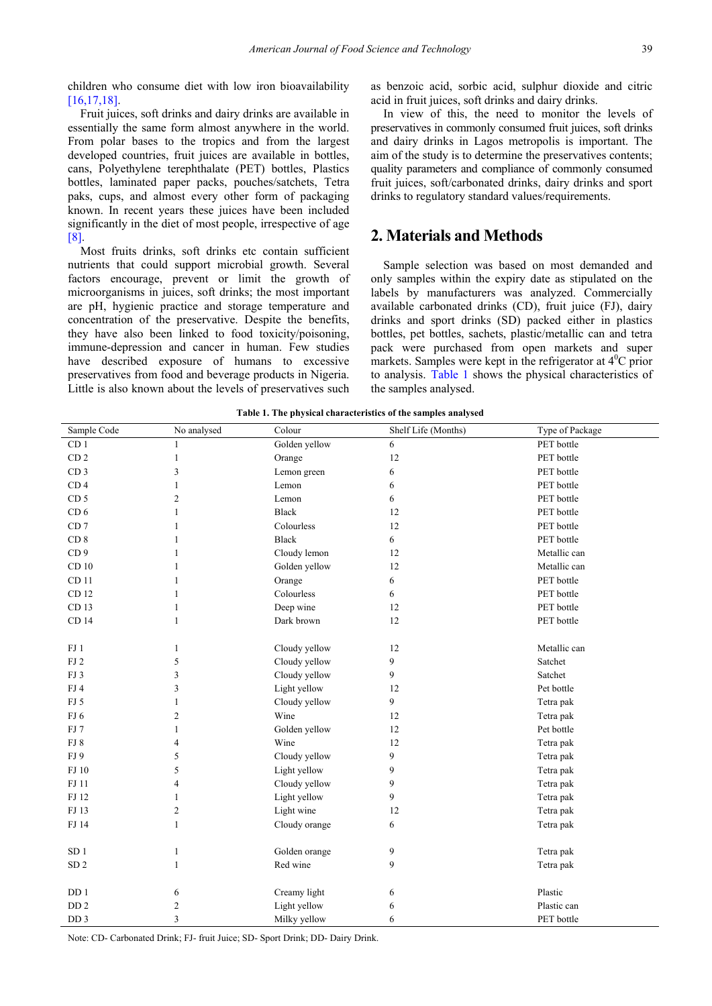children who consume diet with low iron bioavailability [\[16,17,18\].](#page-6-2)

Fruit juices, soft drinks and dairy drinks are available in essentially the same form almost anywhere in the world. From polar bases to the tropics and from the largest developed countries, fruit juices are available in bottles, cans, Polyethylene terephthalate (PET) bottles, Plastics bottles, laminated paper packs, pouches/satchets, Tetra paks, cups, and almost every other form of packaging known. In recent years these juices have been included significantly in the diet of most people, irrespective of age [\[8\].](#page-5-7)

Most fruits drinks, soft drinks etc contain sufficient nutrients that could support microbial growth. Several factors encourage, prevent or limit the growth of microorganisms in juices, soft drinks; the most important are pH, hygienic practice and storage temperature and concentration of the preservative. Despite the benefits, they have also been linked to food toxicity/poisoning, immune-depression and cancer in human. Few studies have described exposure of humans to excessive preservatives from food and beverage products in Nigeria. Little is also known about the levels of preservatives such

as benzoic acid, sorbic acid, sulphur dioxide and citric acid in fruit juices, soft drinks and dairy drinks.

In view of this, the need to monitor the levels of preservatives in commonly consumed fruit juices, soft drinks and dairy drinks in Lagos metropolis is important. The aim of the study is to determine the preservatives contents; quality parameters and compliance of commonly consumed fruit juices, soft/carbonated drinks, dairy drinks and sport drinks to regulatory standard values/requirements.

## **2. Materials and Methods**

Sample selection was based on most demanded and only samples within the expiry date as stipulated on the labels by manufacturers was analyzed. Commercially available carbonated drinks (CD), fruit juice (FJ), dairy drinks and sport drinks (SD) packed either in plastics bottles, pet bottles, sachets, plastic/metallic can and tetra pack were purchased from open markets and super markets. Samples were kept in the refrigerator at  $4^{\circ}$ C prior to analysis. [Table 1](#page-1-0) shows the physical characteristics of the samples analysed.

<span id="page-1-0"></span>

| Sample Code      | No analysed    | Colour        | Shelf Life (Months) | Type of Package |
|------------------|----------------|---------------|---------------------|-----------------|
| CD <sub>1</sub>  | 1              | Golden yellow | 6                   | PET bottle      |
| CD <sub>2</sub>  | $\mathbf{1}$   | Orange        | 12                  | PET bottle      |
| CD <sub>3</sub>  | 3              | Lemon green   | 6                   | PET bottle      |
| CD <sub>4</sub>  | $\mathbf{1}$   | Lemon         | 6                   | PET bottle      |
| CD <sub>5</sub>  | $\overline{c}$ | Lemon         | 6                   | PET bottle      |
| CD <sub>6</sub>  | $\mathbf{1}$   | <b>Black</b>  | 12                  | PET bottle      |
| CD <sub>7</sub>  | $\mathbf{1}$   | Colourless    | 12                  | PET bottle      |
| CD <sub>8</sub>  | $\mathbf{1}$   | <b>Black</b>  | 6                   | PET bottle      |
| CD <sub>9</sub>  | $\mathbf{1}$   | Cloudy lemon  | 12                  | Metallic can    |
| CD <sub>10</sub> | $\mathbf{1}$   | Golden yellow | 12                  | Metallic can    |
| CD 11            | $\mathbf{1}$   | Orange        | 6                   | PET bottle      |
| CD 12            | $\mathbf{1}$   | Colourless    | 6                   | PET bottle      |
| CD 13            | $\mathbf{1}$   | Deep wine     | 12                  | PET bottle      |
| CD 14            | $\mathbf{1}$   | Dark brown    | 12                  | PET bottle      |
|                  |                |               |                     |                 |
| FJ1              | $\mathbf{1}$   | Cloudy yellow | 12                  | Metallic can    |
| $\rm FJ$ 2       | 5              | Cloudy yellow | 9                   | Satchet         |
| FJ3              | 3              | Cloudy yellow | 9                   | Satchet         |
| FJ4              | 3              | Light yellow  | 12                  | Pet bottle      |
| FJ 5             | $\mathbf{1}$   | Cloudy yellow | 9                   | Tetra pak       |
| FJ <sub>6</sub>  | $\overline{c}$ | Wine          | 12                  | Tetra pak       |
| FJ7              | $\mathbf{1}$   | Golden yellow | 12                  | Pet bottle      |
| FJ8              | 4              | Wine          | 12                  | Tetra pak       |
| FJ9              | 5              | Cloudy yellow | 9                   | Tetra pak       |
| FJ 10            | 5              | Light yellow  | 9                   | Tetra pak       |
| FJ 11            | $\overline{4}$ | Cloudy yellow | 9                   | Tetra pak       |
| FJ 12            | $\mathbf{1}$   | Light yellow  | 9                   | Tetra pak       |
| FJ 13            | $\overline{c}$ | Light wine    | 12                  | Tetra pak       |
| FJ 14            | $\mathbf{1}$   | Cloudy orange | 6                   | Tetra pak       |
|                  |                |               |                     |                 |
| SD <sub>1</sub>  | $\mathbf{1}$   | Golden orange | 9                   | Tetra pak       |
| ${\rm SD}$ 2     | $\mathbf{1}$   | Red wine      | 9                   | Tetra pak       |
|                  |                |               |                     |                 |
| DD <sub>1</sub>  | 6              | Creamy light  | 6                   | Plastic         |
| DD <sub>2</sub>  | $\sqrt{2}$     | Light yellow  | 6                   | Plastic can     |
| DD <sub>3</sub>  | 3              | Milky yellow  | 6                   | PET bottle      |

**Table 1. The physical characteristics of the samples analysed**

Note: CD- Carbonated Drink; FJ- fruit Juice; SD- Sport Drink; DD- Dairy Drink.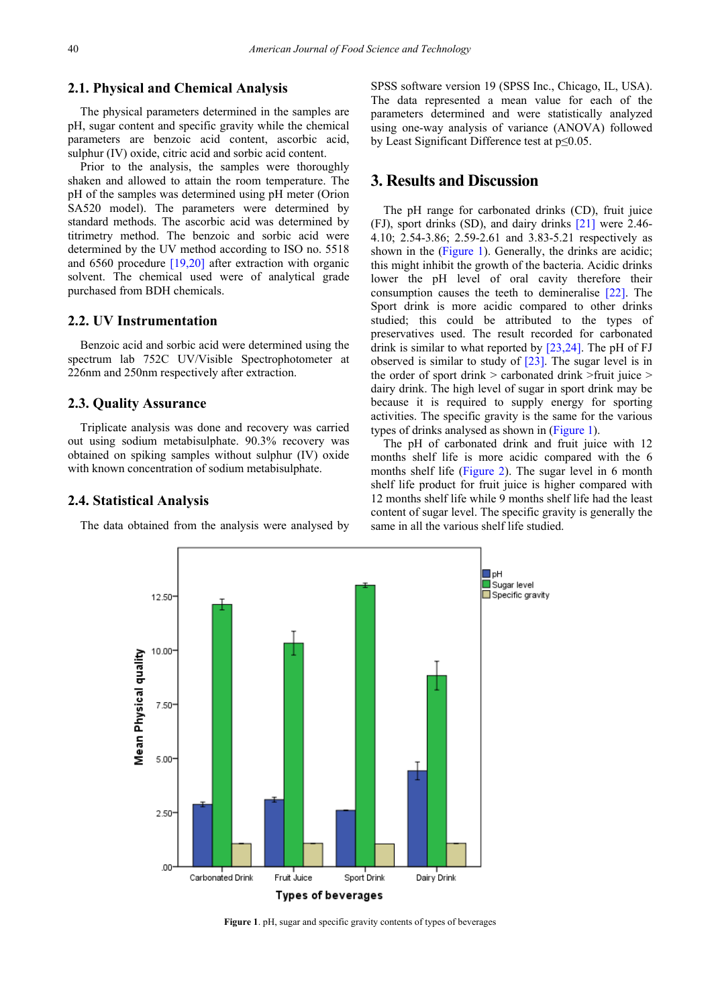## **2.1. Physical and Chemical Analysis**

The physical parameters determined in the samples are pH, sugar content and specific gravity while the chemical parameters are benzoic acid content, ascorbic acid, sulphur (IV) oxide, citric acid and sorbic acid content.

Prior to the analysis, the samples were thoroughly shaken and allowed to attain the room temperature. The pH of the samples was determined using pH meter (Orion SA520 model). The parameters were determined by standard methods. The ascorbic acid was determined by titrimetry method. The benzoic and sorbic acid were determined by the UV method according to ISO no. 5518 and 6560 procedure [\[19,20\]](#page-6-3) after extraction with organic solvent. The chemical used were of analytical grade purchased from BDH chemicals.

#### **2.2. UV Instrumentation**

Benzoic acid and sorbic acid were determined using the spectrum lab 752C UV/Visible Spectrophotometer at 226nm and 250nm respectively after extraction.

### **2.3. Quality Assurance**

Triplicate analysis was done and recovery was carried out using sodium metabisulphate. 90.3% recovery was obtained on spiking samples without sulphur (IV) oxide with known concentration of sodium metabisulphate.

#### **2.4. Statistical Analysis**

<span id="page-2-0"></span>The data obtained from the analysis were analysed by

SPSS software version 19 (SPSS Inc., Chicago, IL, USA). The data represented a mean value for each of the parameters determined and were statistically analyzed using one-way analysis of variance (ANOVA) followed by Least Significant Difference test at p≤0.05.

## **3. Results and Discussion**

The pH range for carbonated drinks (CD), fruit juice (FJ), sport drinks (SD), and dairy drinks [\[21\]](#page-6-4) were 2.46- 4.10; 2.54-3.86; 2.59-2.61 and 3.83-5.21 respectively as shown in the [\(Figure 1\)](#page-2-0). Generally, the drinks are acidic; this might inhibit the growth of the bacteria. Acidic drinks lower the pH level of oral cavity therefore their consumption causes the teeth to demineralise [\[22\].](#page-6-5) The Sport drink is more acidic compared to other drinks studied; this could be attributed to the types of preservatives used. The result recorded for carbonated drink is similar to what reported by [\[23,24\].](#page-6-6) The pH of FJ observed is similar to study of [\[23\].](#page-6-6) The sugar level is in the order of sport drink  $>$  carbonated drink  $>$ fruit juice  $>$ dairy drink. The high level of sugar in sport drink may be because it is required to supply energy for sporting activities. The specific gravity is the same for the various types of drinks analysed as shown in [\(Figure 1\)](#page-2-0).

The pH of carbonated drink and fruit juice with 12 months shelf life is more acidic compared with the 6 months shelf life [\(Figure 2\)](#page-3-0). The sugar level in 6 month shelf life product for fruit juice is higher compared with 12 months shelf life while 9 months shelf life had the least content of sugar level. The specific gravity is generally the same in all the various shelf life studied.



**Figure 1**. pH, sugar and specific gravity contents of types of beverages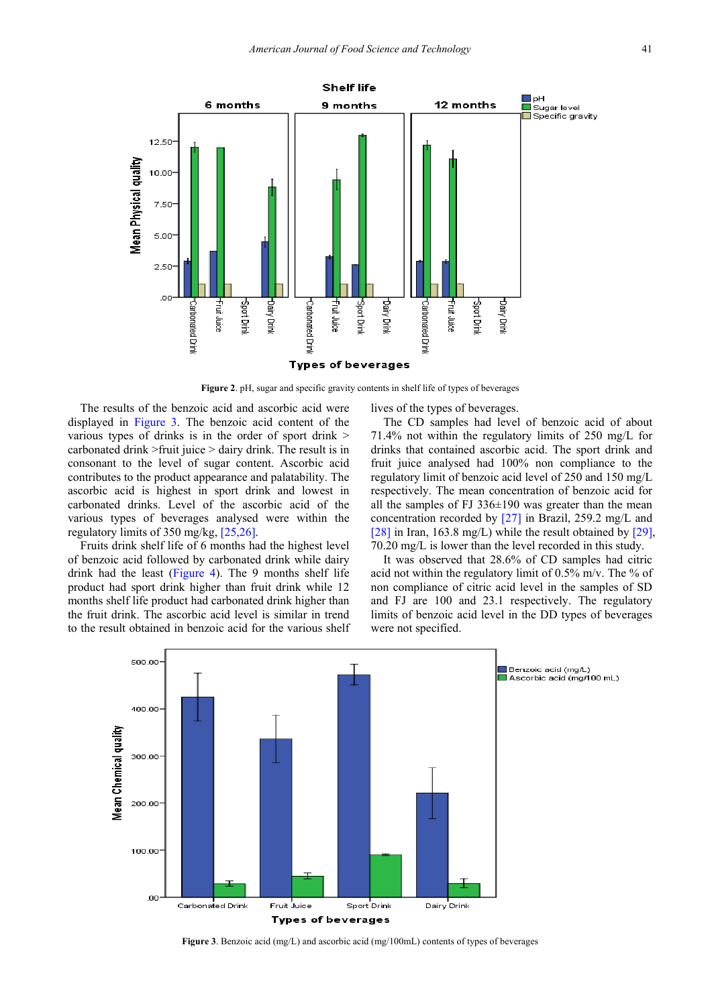<span id="page-3-0"></span>

**Figure 2**. pH, sugar and specific gravity contents in shelf life of types of beverages

The results of the benzoic acid and ascorbic acid were displayed in [Figure 3.](#page-3-1) The benzoic acid content of the various types of drinks is in the order of sport drink > carbonated drink >fruit juice > dairy drink. The result is in consonant to the level of sugar content. Ascorbic acid contributes to the product appearance and palatability. The ascorbic acid is highest in sport drink and lowest in carbonated drinks. Level of the ascorbic acid of the various types of beverages analysed were within the regulatory limits of 350 mg/kg[, \[25,26\].](#page-6-7)

Fruits drink shelf life of 6 months had the highest level of benzoic acid followed by carbonated drink while dairy drink had the least [\(Figure 4\)](#page-4-0). The 9 months shelf life product had sport drink higher than fruit drink while 12 months shelf life product had carbonated drink higher than the fruit drink. The ascorbic acid level is similar in trend to the result obtained in benzoic acid for the various shelf lives of the types of beverages.

The CD samples had level of benzoic acid of about 71.4% not within the regulatory limits of 250 mg/L for drinks that contained ascorbic acid. The sport drink and fruit juice analysed had 100% non compliance to the regulatory limit of benzoic acid level of 250 and 150 mg/L respectively. The mean concentration of benzoic acid for all the samples of FJ  $336\pm190$  was greater than the mean concentration recorded by [\[27\]](#page-6-8) in Brazil, 259.2 mg/L and [\[28\]](#page-6-9) in Iran, 163.8 mg/L) while the result obtained by [\[29\],](#page-6-10) 70.20 mg/L is lower than the level recorded in this study.

It was observed that 28.6% of CD samples had citric acid not within the regulatory limit of  $0.5\%$  m/v. The % of non compliance of citric acid level in the samples of SD and FJ are 100 and 23.1 respectively. The regulatory limits of benzoic acid level in the DD types of beverages were not specified.

<span id="page-3-1"></span>

**Figure 3**. Benzoic acid (mg/L) and ascorbic acid (mg/100mL) contents of types of beverages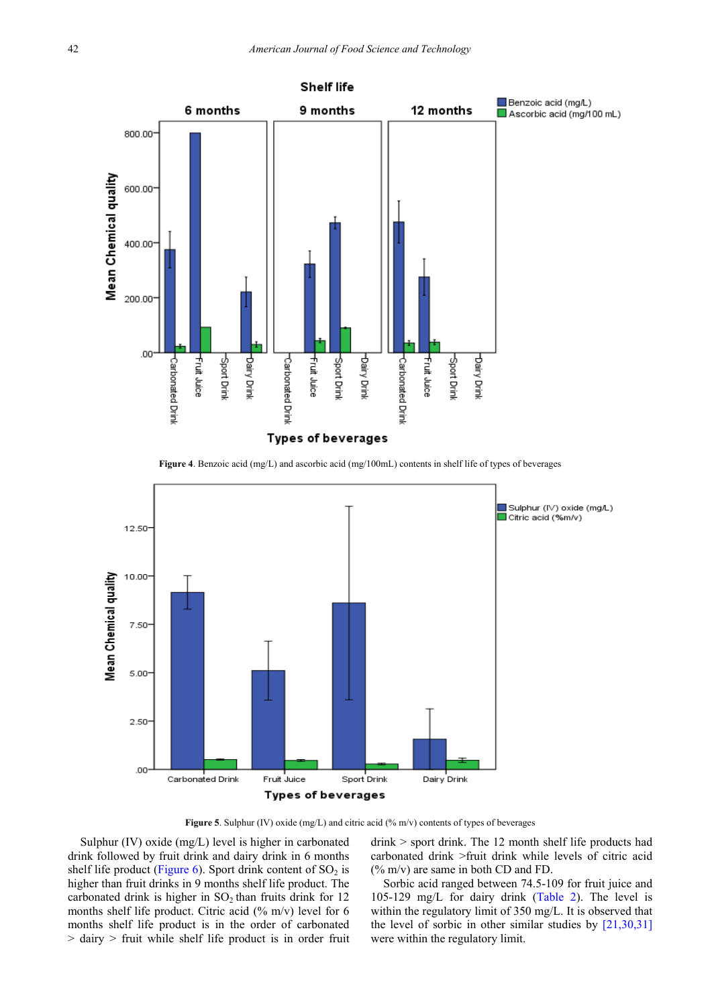<span id="page-4-0"></span>

**Figure 4**. Benzoic acid (mg/L) and ascorbic acid (mg/100mL) contents in shelf life of types of beverages



**Figure 5**. Sulphur (IV) oxide (mg/L) and citric acid (% m/v) contents of types of beverages

Sulphur (IV) oxide (mg/L) level is higher in carbonated drink followed by fruit drink and dairy drink in 6 months shelf life product [\(Figure 6\)](#page-5-8). Sport drink content of  $SO<sub>2</sub>$  is higher than fruit drinks in 9 months shelf life product. The carbonated drink is higher in  $SO_2$  than fruits drink for 12 months shelf life product. Citric acid  $(\%$  m/v) level for 6 months shelf life product is in the order of carbonated > dairy > fruit while shelf life product is in order fruit drink > sport drink. The 12 month shelf life products had carbonated drink >fruit drink while levels of citric acid (% m/v) are same in both CD and FD.

Sorbic acid ranged between 74.5-109 for fruit juice and 105-129 mg/L for dairy drink [\(Table 2\)](#page-5-9). The level is within the regulatory limit of 350 mg/L. It is observed that the level of sorbic in other similar studies by [\[21,30,31\]](#page-6-4) were within the regulatory limit.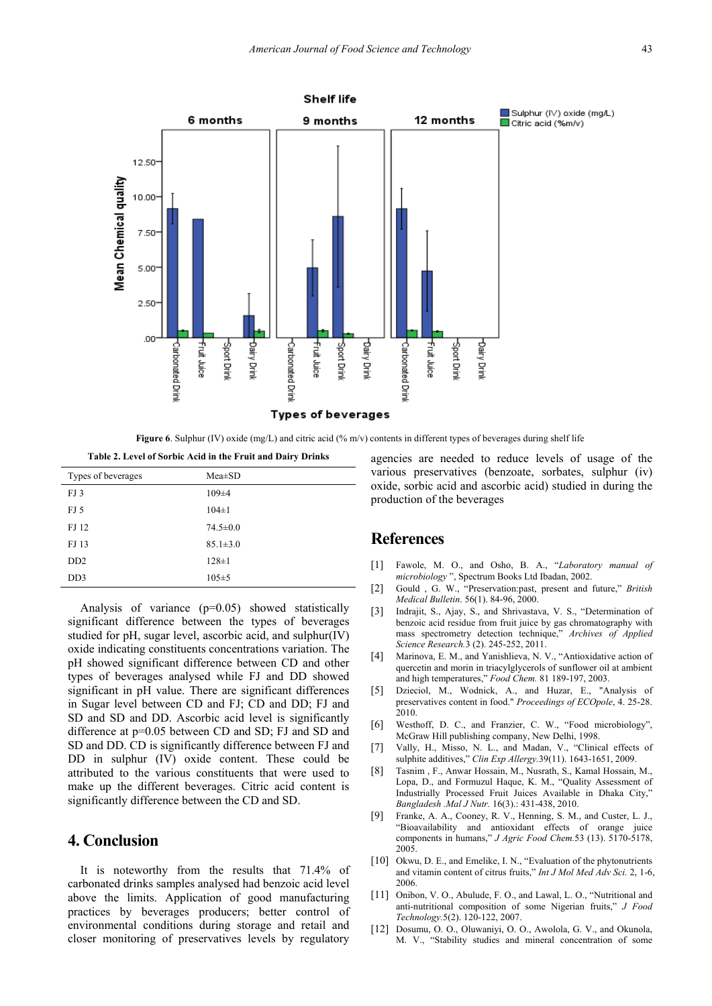<span id="page-5-8"></span>

**Figure 6**. Sulphur (IV) oxide (mg/L) and citric acid (% m/v) contents in different types of beverages during shelf life

<span id="page-5-9"></span>

| Table 2. Level of Sorbic Acid in the Fruit and Dairy Drinks |                |  |  |
|-------------------------------------------------------------|----------------|--|--|
| Types of beverages                                          | $Mea \pm SD$   |  |  |
| FJ3                                                         | $109 \pm 4$    |  |  |
| FJ 5                                                        | $104 \pm 1$    |  |  |
| FJ 12                                                       | $74.5 \pm 0.0$ |  |  |
| FJ 13                                                       | $85.1 \pm 3.0$ |  |  |
| D <sub>D</sub> <sub>2</sub>                                 | $128 \pm 1$    |  |  |
| DD3                                                         | $105 \pm 5$    |  |  |

Analysis of variance (p=0.05) showed statistically significant difference between the types of beverages studied for pH, sugar level, ascorbic acid, and sulphur(IV) oxide indicating constituents concentrations variation. The pH showed significant difference between CD and other types of beverages analysed while FJ and DD showed significant in pH value. There are significant differences in Sugar level between CD and FJ; CD and DD; FJ and SD and SD and DD. Ascorbic acid level is significantly difference at p=0.05 between CD and SD; FJ and SD and SD and DD. CD is significantly difference between FJ and DD in sulphur (IV) oxide content. These could be attributed to the various constituents that were used to make up the different beverages. Citric acid content is significantly difference between the CD and SD.

## **4. Conclusion**

It is noteworthy from the results that 71.4% of carbonated drinks samples analysed had benzoic acid level above the limits. Application of good manufacturing practices by beverages producers; better control of environmental conditions during storage and retail and closer monitoring of preservatives levels by regulatory agencies are needed to reduce levels of usage of the various preservatives (benzoate, sorbates, sulphur (iv) oxide, sorbic acid and ascorbic acid) studied in during the production of the beverages

## **References**

- <span id="page-5-0"></span>[1] Fawole, M. O., and Osho, B. A., "*Laboratory manual of microbiology* ", Spectrum Books Ltd Ibadan, 2002.
- <span id="page-5-1"></span>[2] Gould , G. W., "Preservation:past, present and future," *British Medical Bulletin*. 56(1). 84-96, 2000.
- <span id="page-5-2"></span>[3] Indrajit, S., Ajay, S., and Shrivastava, V. S., "Determination of benzoic acid residue from fruit juice by gas chromatography with mass spectrometry detection technique," *Archives of Applied Science Research.*3 (2). 245-252, 2011.
- <span id="page-5-3"></span>[4] Marinova, E. M., and Yanishlieva, N. V., "Antioxidative action of quercetin and morin in triacylglycerols of sunflower oil at ambient and high temperatures," *Food Chem.* 81 189-197, 2003.
- <span id="page-5-4"></span>[5] Dzieciol, M., Wodnick, A., and Huzar, E., "Analysis of preservatives content in food." *Proceedings of ECOpole*, 4. 25-28. 2010.
- <span id="page-5-5"></span>[6] Westhoff, D. C., and Franzier, C. W., "Food microbiology", McGraw Hill publishing company, New Delhi, 1998.
- <span id="page-5-6"></span>[7] Vally, H., Misso, N. L., and Madan, V., "Clinical effects of sulphite additives," *Clin Exp Allergy.*39(11). 1643-1651, 2009.
- <span id="page-5-7"></span>[8] Tasnim , F., Anwar Hossain, M., Nusrath, S., Kamal Hossain, M., Lopa, D., and Formuzul Haque, K. M., "Quality Assessment of Industrially Processed Fruit Juices Available in Dhaka City," *Bangladesh .Mal J Nutr.* 16(3).: 431-438, 2010.
- [9] Franke, A. A., Cooney, R. V., Henning, S. M., and Custer, L. J., "Bioavailability and antioxidant effects of orange juice components in humans," *J Agric Food Chem.*53 (13). 5170-5178, 2005.
- [10] Okwu, D. E., and Emelike, I. N., "Evaluation of the phytonutrients and vitamin content of citrus fruits," *Int J Mol Med Adv Sci.* 2, 1-6, 2006.
- [11] Onibon, V. O., Abulude, F. O., and Lawal, L. O., "Nutritional and anti-nutritional composition of some Nigerian fruits," *J Food Technology.*5(2). 120-122, 2007.
- [12] Dosumu, O. O., Oluwaniyi, O. O., Awolola, G. V., and Okunola, M. V., "Stability studies and mineral concentration of some